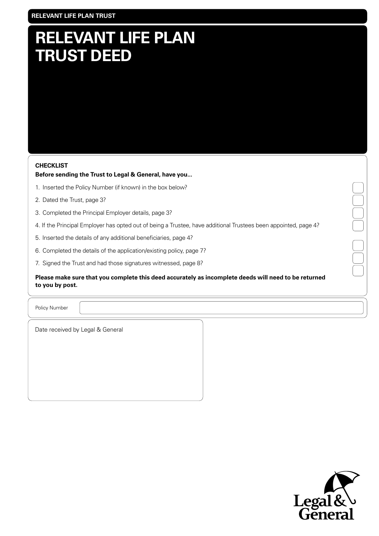# **RELEVANT LIFE PLAN TRUST DEED**

### **CHECKLIST**

# **Before sending the Trust to Legal & General, have you...**

- 1. Inserted the Policy Number (if known) in the box below?
- 2. Dated the Trust, page 3?
- 3. Completed the Principal Employer details, page 3?
- 4. If the Principal Employer has opted out of being a Trustee, have additional Trustees been appointed, page 4?
- 5. Inserted the details of any additional beneficiaries, page 4?
- 6. Completed the details of the application/existing policy, page 7?
- 7. Signed the Trust and had those signatures witnessed, page 8?

**Please make sure that you complete this deed accurately as incomplete deeds will need to be returned to you by post.**

Policy Number

Date received by Legal & General

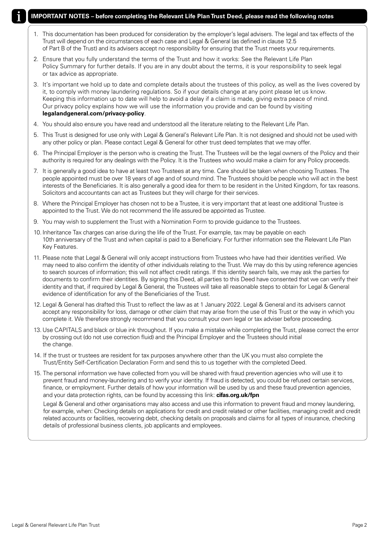## **IMPORTANT NOTES – before completing the Relevant Life Plan Trust Deed, please read the following notes**

- 1. This documentation has been produced for consideration by the employer's legal advisers. The legal and tax effects of the Trust will depend on the circumstances of each case and Legal & General (as defined in clause 12.5 of Part B of the Trust) and its advisers accept no responsibility for ensuring that the Trust meets your requirements.
- 2. Ensure that you fully understand the terms of the Trust and how it works: See the Relevant Life Plan Policy Summary for further details. If you are in any doubt about the terms, it is your responsibility to seek legal or tax advice as appropriate.
- 3. It's important we hold up to date and complete details about the trustees of this policy, as well as the lives covered by it, to comply with money laundering regulations. So if your details change at any point please let us know. Keeping this information up to date will help to avoid a delay if a claim is made, giving extra peace of mind. Our privacy policy explains how we will use the information you provide and can be found by visiting **legalandgeneral.com/privacy-policy**.
- 4. You should also ensure you have read and understood all the literature relating to the Relevant Life Plan.
- 5. This Trust is designed for use only with Legal & General's Relevant Life Plan. It is not designed and should not be used with any other policy or plan. Please contact Legal & General for other trust deed templates that we may offer.
- 6. The Principal Employer is the person who is creating the Trust. The Trustees will be the legal owners of the Policy and their authority is required for any dealings with the Policy. It is the Trustees who would make a claim for any Policy proceeds.
- 7. It is generally a good idea to have at least two Trustees at any time. Care should be taken when choosing Trustees. The people appointed must be over 18 years of age and of sound mind. The Trustees should be people who will act in the best interests of the Beneficiaries. It is also generally a good idea for them to be resident in the United Kingdom, for tax reasons. Solicitors and accountants can act as Trustees but they will charge for their services.
- 8. Where the Principal Employer has chosen not to be a Trustee, it is very important that at least one additional Trustee is appointed to the Trust. We do not recommend the life assured be appointed as Trustee.
- 9. You may wish to supplement the Trust with a Nomination Form to provide guidance to the Trustees.
- 10. Inheritance Tax charges can arise during the life of the Trust. For example, tax may be payable on each 10th anniversary of the Trust and when capital is paid to a Beneficiary. For further information see the Relevant Life Plan Key Features.
- 11. Please note that Legal & General will only accept instructions from Trustees who have had their identities verified. We may need to also confirm the identity of other individuals relating to the Trust. We may do this by using reference agencies to search sources of information; this will not affect credit ratings. If this identity search fails, we may ask the parties for documents to confirm their identities. By signing this Deed, all parties to this Deed have consented that we can verify their identity and that, if required by Legal & General, the Trustees will take all reasonable steps to obtain for Legal & General evidence of identification for any of the Beneficiaries of the Trust.
- 12. Legal & General has drafted this Trust to reflect the law as at 1 January 2022. Legal & General and its advisers cannot accept any responsibility for loss, damage or other claim that may arise from the use of this Trust or the way in which you complete it. We therefore strongly recommend that you consult your own legal or tax adviser before proceeding.
- 13. Use CAPITALS and black or blue ink throughout. If you make a mistake while completing the Trust, please correct the error by crossing out (do not use correction fluid) and the Principal Employer and the Trustees should initial the change.
- 14. If the trust or trustees are resident for tax purposes anywhere other than the UK you must also complete the Trust/Entity Self-Certification Declaration Form and send this to us together with the completed Deed.
- 15. The personal information we have collected from you will be shared with fraud prevention agencies who will use it to prevent fraud and money-laundering and to verify your identity. If fraud is detected, you could be refused certain services, finance, or employment. Further details of how your information will be used by us and these fraud prevention agencies, and your data protection rights, can be found by accessing this link: **cifas.org.uk/fpn**

Legal & General and other organisations may also access and use this information to prevent fraud and money laundering, for example, when: Checking details on applications for credit and credit related or other facilities, managing credit and credit related accounts or facilities, recovering debt, checking details on proposals and claims for all types of insurance, checking details of professional business clients, job applicants and employees.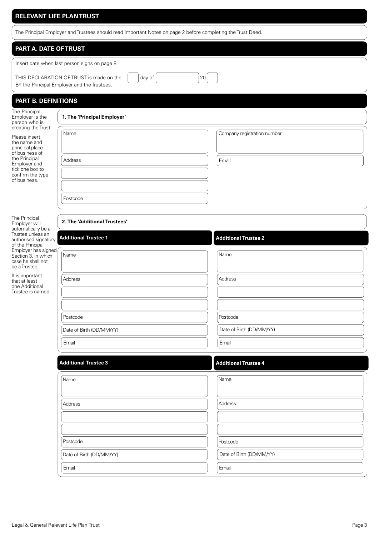### **RELEVANT LIFE PLAN TRUST**

The Principal Employer and Trustees should read Important Notes on page 2 before completing the Trust Deed.

# **PART A. DATE OF TRUST**

Insert date when last person signs on page 8.

THIS DECLARATION OF TRUST is made on the  $\vert$   $\vert$  day of  $\vert$   $\vert$   $\vert$  20 BY the Principal Employer and the Trustees.

# **PART B. DEFINITIONS**

The Principal Employer is the person who is creating the Tru

| The Principal<br>Employer is the<br>person who is<br>creating the Trust.<br>Please insert<br>the name and<br>principal place<br>of business of<br>the Principal<br>Employer and<br>tick one box to<br>confirm the type<br>of business. | 1. The 'Principal Employer' |                             |  |
|----------------------------------------------------------------------------------------------------------------------------------------------------------------------------------------------------------------------------------------|-----------------------------|-----------------------------|--|
|                                                                                                                                                                                                                                        | Name                        | Company registration number |  |
|                                                                                                                                                                                                                                        | Address<br>Postcode         | Email                       |  |

The Principal Employer will automatically be a Trustee unless an authorised signator of the Principal Employer has signe Section 3, in which case he shall not be a Trustee.

It is important that at least one Additional Trustee is named.

# **2. The 'Additional Trustees'**

| y Additional Trustee 1   | <b>Additional Trustee 2</b> |
|--------------------------|-----------------------------|
| эd<br>Name               | Name                        |
| Address                  | Address                     |
|                          |                             |
| Postcode                 | Postcode                    |
| Date of Birth (DD/MM/YY) | Date of Birth (DD/MM/YY)    |
| Email                    | Email                       |

| <b>Additional Trustee 3</b> | <b>Additional Trustee 4</b> |  |
|-----------------------------|-----------------------------|--|
| Name                        | Name                        |  |
| Address                     | Address                     |  |
|                             |                             |  |
| Postcode                    | Postcode                    |  |
| Date of Birth (DD/MM/YY)    | Date of Birth (DD/MM/YY)    |  |
| Email                       | Email                       |  |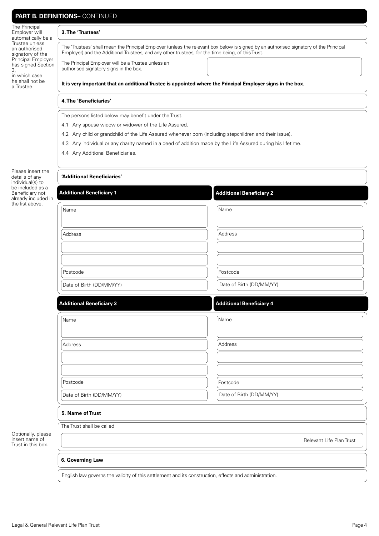| The Principal<br>Employer will<br>automatically be a       | 3. The 'Trustees'                                                                                                                                                                                                                          |                                 |  |  |  |
|------------------------------------------------------------|--------------------------------------------------------------------------------------------------------------------------------------------------------------------------------------------------------------------------------------------|---------------------------------|--|--|--|
| Trustee unless<br>an authorised<br>signatory of the        | The 'Trustees' shall mean the Principal Employer (unless the relevant box below is signed by an authorised signatory of the Principal<br>Employer) and the Additional Trustees, and any other trustees, for the time being, of this Trust. |                                 |  |  |  |
| <b>Principal Employer</b><br>has signed Section<br>3,      | The Principal Employer will be a Trustee unless an<br>authorised signatory signs in the box.                                                                                                                                               |                                 |  |  |  |
| in which case<br>he shall not be<br>a Trustee.             | It is very important that an additional Trustee is appointed where the Principal Employer signs in the box.                                                                                                                                |                                 |  |  |  |
|                                                            | 4. The 'Beneficiaries'                                                                                                                                                                                                                     |                                 |  |  |  |
|                                                            | The persons listed below may benefit under the Trust.                                                                                                                                                                                      |                                 |  |  |  |
|                                                            | 4.1 Any spouse widow or widower of the Life Assured.                                                                                                                                                                                       |                                 |  |  |  |
|                                                            | 4.2 Any child or grandchild of the Life Assured whenever born (including stepchildren and their issue).                                                                                                                                    |                                 |  |  |  |
|                                                            | 4.3 Any individual or any charity named in a deed of addition made by the Life Assured during his lifetime.                                                                                                                                |                                 |  |  |  |
|                                                            | 4.4 Any Additional Beneficiaries.                                                                                                                                                                                                          |                                 |  |  |  |
| Please insert the<br>details of any<br>individual(s) to    | 'Additional Beneficiaries'                                                                                                                                                                                                                 |                                 |  |  |  |
| be included as a<br>Beneficiary not<br>already included in | <b>Additional Beneficiary 1</b>                                                                                                                                                                                                            | <b>Additional Beneficiary 2</b> |  |  |  |
| the list above.                                            | Name                                                                                                                                                                                                                                       | Name                            |  |  |  |
|                                                            | Address                                                                                                                                                                                                                                    | Address                         |  |  |  |
|                                                            |                                                                                                                                                                                                                                            |                                 |  |  |  |
|                                                            |                                                                                                                                                                                                                                            |                                 |  |  |  |
|                                                            | Postcode                                                                                                                                                                                                                                   | Postcode                        |  |  |  |
|                                                            | Date of Birth (DD/MM/YY)                                                                                                                                                                                                                   | Date of Birth (DD/MM/YY)        |  |  |  |
|                                                            | <b>Additional Beneficiary 3</b>                                                                                                                                                                                                            | <b>Additional Beneficiary 4</b> |  |  |  |
|                                                            | Name                                                                                                                                                                                                                                       | Name                            |  |  |  |
|                                                            | Address                                                                                                                                                                                                                                    | Address                         |  |  |  |
|                                                            |                                                                                                                                                                                                                                            |                                 |  |  |  |
|                                                            |                                                                                                                                                                                                                                            |                                 |  |  |  |
|                                                            | Postcode                                                                                                                                                                                                                                   | Postcode                        |  |  |  |
|                                                            | Date of Birth (DD/MM/YY)                                                                                                                                                                                                                   | Date of Birth (DD/MM/YY)        |  |  |  |
|                                                            | 5. Name of Trust                                                                                                                                                                                                                           |                                 |  |  |  |
|                                                            | The Trust shall be called                                                                                                                                                                                                                  |                                 |  |  |  |
| Optionally, please<br>insert name of<br>Trust in this box. | Relevant Life Plan Trust                                                                                                                                                                                                                   |                                 |  |  |  |
|                                                            | 6. Governing Law                                                                                                                                                                                                                           |                                 |  |  |  |
|                                                            | English law governs the validity of this settlement and its construction, effects and administration.                                                                                                                                      |                                 |  |  |  |

# **PART B. DEFINITIONS- CONTINUED**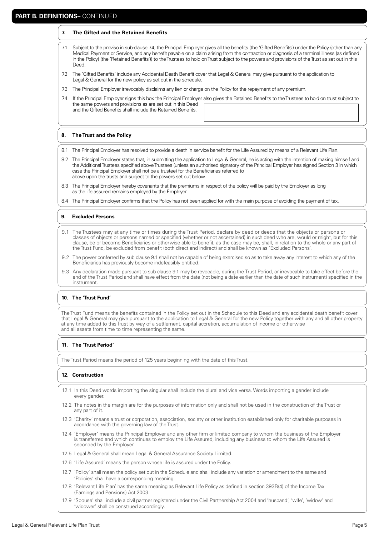#### **7. The Gifted and the Retained Benefits**

- 7.1 Subject to the proviso in sub-clause 7.4, the Principal Employer gives all the benefits (the 'Gifted Benefits') under the Policy (other than any Medical Payment or Service, and any benefit payable on a claim arising from the contraction or diagnosis of a terminal illness (as defined in the Policy) (the 'Retained Benefits')) to the Trustees to hold on Trust subject to the powers and provisions of the Trust as set out in this Deed.
- 7.2 The 'Gifted Benefits' include any Accidental Death Benefit cover that Legal & General may give pursuant to the application to Legal & General for the new policy as set out in the schedule.
- 7.3 The Principal Employer irrevocably disclaims any lien or charge on the Policy for the repayment of any premium.
- 7.4 If the Principal Employer signs this box the Principal Employer also gives the Retained Benefits to the Trustees to hold on trust subject to the same powers and provisions as are set out in this Deed and the Gifted Benefits shall include the Retained Benefits.

#### **8. The Trust and the Policy**

- 8.1 The Principal Employer has resolved to provide a death in service benefit for the Life Assured by means of a Relevant Life Plan.
- 8.2 The Principal Employer states that, in submitting the application to Legal & General, he is acting with the intention of making himself and the Additional Trustees specified above Trustees (unless an authorised signatory of the Principal Employer has signed Section 3 in which case the Principal Employer shall not be a trustee) for the Beneficiaries referred to above upon the trusts and subject to the powers set out below.
- 8.3 The Principal Employer hereby covenants that the premiums in respect of the policy will be paid by the Employer as long as the life assured remains employed by the Employer.
- 8.4 The Principal Employer confirms that the Policy has not been applied for with the main purpose of avoiding the payment of tax.

#### **9. Excluded Persons**

- 9.1 The Trustees may at any time or times during the Trust Period, declare by deed or deeds that the objects or persons or classes of objects or persons named or specified (whether or not ascertained) in such deed who are, would or might, but for this clause, be or become Beneficiaries or otherwise able to benefit, as the case may be, shall, in relation to the whole or any part of the Trust Fund, be excluded from benefit (both direct and indirect) and shall be known as 'Excluded Persons'.
- 9.2 The power conferred by sub clause 9.1 shall not be capable of being exercised so as to take away any interest to which any of the Beneficiaries has previously become indefeasibly entitled.
- 9.3 Any declaration made pursuant to sub clause 9.1 may be revocable, during the Trust Period, or irrevocable to take effect before the end of the Trust Period and shall have effect from the date (not being a date earlier than the date of such instrument) specified in the instrument.

#### **10. The 'Trust Fund'**

The Trust Fund means the benefits contained in the Policy set out in the Schedule to this Deed and any accidental death benefit cover that Legal & General may give pursuant to the application to Legal & General for the new Policy together with any and all other property at any time added to this Trust by way of a settlement, capital accretion, accumulation of income or otherwise and all assets from time to time representing the same.

#### **11. The 'Trust Period'**

The Trust Period means the period of 125 years beginning with the date of this Trust.

#### **12. Construction**

- 12.1 In this Deed words importing the singular shall include the plural and vice versa. Words importing a gender include every gender.
- 12.2 The notes in the margin are for the purposes of information only and shall not be used in the construction of the Trust or any part of it.
- 12.3 'Charity' means a trust or corporation, association, society or other institution established only for charitable purposes in accordance with the governing law of the Trust.
- 12.4 'Employer' means the Principal Employer and any other firm or limited company to whom the business of the Employer is transferred and which continues to employ the Life Assured, including any business to whom the Life Assured is seconded by the Employer.
- 12.5 Legal & General shall mean Legal & General Assurance Society Limited.
- 12.6 'Life Assured' means the person whose life is assured under the Policy.
- 12.7 'Policy' shall mean the policy set out in the Schedule and shall include any variation or amendment to the same and 'Policies' shall have a corresponding meaning.
- 12.8 'Relevant Life Plan' has the same meaning as Relevant Life Policy as defined in section 393B(4) of the Income Tax (Earnings and Pensions) Act 2003.
- 12.9 'Spouse' shall include a civil partner registered under the Civil Partnership Act 2004 and 'husband', 'wife', 'widow' and 'widower' shall be construed accordingly.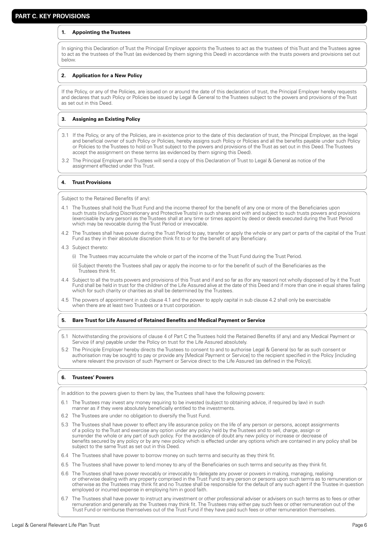#### **1. Appointing the Trustees**

In signing this Declaration of Trust the Principal Employer appoints the Trustees to act as the trustees of this Trust and the Trustees agree to act as the trustees of the Trust (as evidenced by them signing this Deed) in accordance with the trusts powers and provisions set out below.

#### **2. Application for a New Policy**

If the Policy, or any of the Policies, are issued on or around the date of this declaration of trust, the Principal Employer hereby requests and declares that such Policy or Policies be issued by Legal & General to the Trustees subject to the powers and provisions of the Trust as set out in this Deed.

#### **3. Assigning an Existing Policy**

- 3.1 If the Policy, or any of the Policies, are in existence prior to the date of this declaration of trust, the Principal Employer, as the legal and beneficial owner of such Policy or Policies, hereby assigns such Policy or Policies and all the benefits payable under such Policy or Policies to the Trustees to hold on Trust subject to the powers and provisions of the Trust as set out in this Deed. The Trustees accept the assignment on these terms (as evidenced by them signing this Deed).
- 3.2 The Principal Employer and Trustees will send a copy of this Declaration of Trust to Legal & General as notice of the assignment effected under this Trust.

#### **4. Trust Provisions**

Subject to the Retained Benefits (if any):

- 4.1 The Trustees shall hold the Trust Fund and the income thereof for the benefit of any one or more of the Beneficiaries upon such trusts (including Discretionary and Protective Trusts) in such shares and with and subject to such trusts powers and provisions (exercisable by any person) as the Trustees shall at any time or times appoint by deed or deeds executed during the Trust Period which may be revocable during the Trust Period or irrevocable.
- 4.2 The Trustees shall have power during the Trust Period to pay, transfer or apply the whole or any part or parts of the capital of the Trust Fund as they in their absolute discretion think fit to or for the benefit of any Beneficiary.
- 4.3 Subject thereto:
	- (i) The Trustees may accumulate the whole or part of the income of the Trust Fund during the Trust Period.
	- (ii) Subject thereto the Trustees shall pay or apply the income to or for the benefit of such of the Beneficiaries as the Trustees think fit.
- 4.4 Subject to all the trusts powers and provisions of this Trust and if and so far as (for any reason) not wholly disposed of by it the Trust Fund shall be held in trust for the children of the Life Assured alive at the date of this Deed and if more than one in equal shares failing which for such charity or charities as shall be determined by the Trustees.
- 4.5 The powers of appointment in sub clause 4.1 and the power to apply capital in sub clause 4.2 shall only be exercisable when there are at least two Trustees or a trust corporation.

#### **5. Bare Trust for Life Assured of Retained Benefits and Medical Payment or Service**

- 5.1 Notwithstanding the provisions of clause 4 of Part C the Trustees hold the Retained Benefits (if any) and any Medical Payment or Service (if any) payable under the Policy on trust for the Life Assured absolutely.
- 5.2 The Principle Employer hereby directs the Trustees to consent to and to authorise Legal & General (so far as such consent or authorisation may be sought) to pay or provide any [Medical Payment or Service] to the recipient specified in the Policy [including where relevant the provision of such Payment or Service direct to the Life Assured (as defined in the Policy)].

#### **6. Trustees' Powers**

In addition to the powers given to them by law, the Trustees shall have the following powers:

- 6.1 The Trustees may invest any money requiring to be invested (subject to obtaining advice, if required by law) in such manner as if they were absolutely beneficially entitled to the investments.
- 6.2 The Trustees are under no obligation to diversify the Trust Fund.
- 5.3 The Trustees shall have power to effect any life assurance policy on the life of any person or persons, accept assignments of a policy to the Trust and exercise any option under any policy held by the Trustees and to sell, charge, assign or surrender the whole or any part of such policy. For the avoidance of doubt any new policy or increase or decrease of benefits secured by any policy or by any new policy which is effected under any options which are contained in any policy shall be subject to the same Trust as set out in this Deed.
- 6.4 The Trustees shall have power to borrow money on such terms and security as they think fit.
- 6.5 The Trustees shall have power to lend money to any of the Beneficiaries on such terms and security as they think fit.
- 6.6 The Trustees shall have power revocably or irrevocably to delegate any power or powers in making, managing, realising or otherwise dealing with any property comprised in the Trust Fund to any person or persons upon such terms as to remuneration or otherwise as the Trustees may think fit and no Trustee shall be responsible for the default of any such agent if the Trustee in question employed or incurred expense in employing him in good faith.
- 6.7 The Trustees shall have power to instruct any investment or other professional adviser or advisers on such terms as to fees or other remuneration and generally as the Trustees may think fit. The Trustees may either pay such fees or other remuneration out of the Trust Fund or reimburse themselves out of the Trust Fund if they have paid such fees or other remuneration themselves.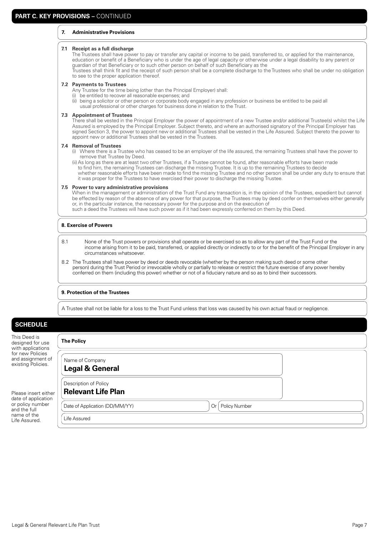#### **7. Administrative Provisions**

#### **7.1 Receipt as a full discharge**

The Trustees shall have power to pay or transfer any capital or income to be paid, transferred to, or applied for the maintenance, education or benefit of a Beneficiary who is under the age of legal capacity or otherwise under a legal disability to any parent or guardian of that Beneficiary or to such other person on behalf of such Beneficiary as the Trustees shall think fit and the receipt of such person shall be a complete discharge to the Trustees who shall be under no obligation

to see to the proper application thereof.

#### **7.2 Payments to Trustees**

Any Trustee for the time being (other than the Principal Employer) shall:

- (i) be entitled to recover all reasonable expenses; and
- (ii) being a solicitor or other person or corporate body engaged in any profession or business be entitled to be paid all usual professional or other charges for business done in relation to the Trust.

#### **7.3 Appointment of Trustees**

 There shall be vested in the Principal Employer the power of appointment of a new Trustee and/or additional Trustee(s) whilst the Life Assured is employed by the Principal Employer. Subject thereto, and where an authorised signatory of the Principal Employer has signed Section 3, the power to appoint new or additional Trustees shall be vested in the Life Assured. Subject thereto the power to appoint new or additional Trustees shall be vested in the Trustees.

#### **7.4 Removal of Trustees**

(i) Where there is a Trustee who has ceased to be an employer of the life assured, the remaining Trustees shall have the power to remove that Trustee by Deed.

(ii) As long as there are at least two other Trustees, if a Trustee cannot be found, after reasonable efforts have been made to find him, the remaining Trustees can discharge the missing Trustee. It is up to the remaining Trustees to decide whether reasonable efforts have been made to find the missing Trustee and no other person shall be under any duty to ensure that it was proper for the Trustees to have exercised their power to discharge the missing Trustee.

#### **7.5 Power to vary administrative provisions**

 When in the management or administration of the Trust Fund any transaction is, in the opinion of the Trustees, expedient but cannot be effected by reason of the absence of any power for that purpose, the Trustees may by deed confer on themselves either generally or, in the particular instance, the necessary power for the purpose and on the execution of such a deed the Trustees will have such power as if it had been expressly conferred on them by this Deed.

#### **8. Exercise of Powers**

- 8.1 None of the Trust powers or provisions shall operate or be exercised so as to allow any part of the Trust Fund or the income arising from it to be paid, transferred, or applied directly or indirectly to or for the benefit of the Principal Employer in any circumstances whatsoever.
- 8.2 The Trustees shall have power by deed or deeds revocable (whether by the person making such deed or some other person) during the Trust Period or irrevocable wholly or partially to release or restrict the future exercise of any power hereby conferred on them (including this power) whether or not of a fiduciary nature and so as to bind their successors.

#### **9. Protection of the Trustees**

A Trustee shall not be liable for a loss to the Trust Fund unless that loss was caused by his own actual fraud or negligence.

# **SCHEDULE**

This Deed is designed for use with applications for new Policies and assignment of existing Policies.

Please insert eithe date of application or policy number and the full name of the Life Assured.

|    | <b>The Policy</b>                                            |
|----|--------------------------------------------------------------|
|    | Name of Company<br><b>Legal &amp; General</b>                |
| эr | Description of Policy<br><b>Relevant Life Plan</b>           |
|    | Policy Number<br>Date of Application (DD/MM/YY)<br><b>Or</b> |
|    | Life Assured                                                 |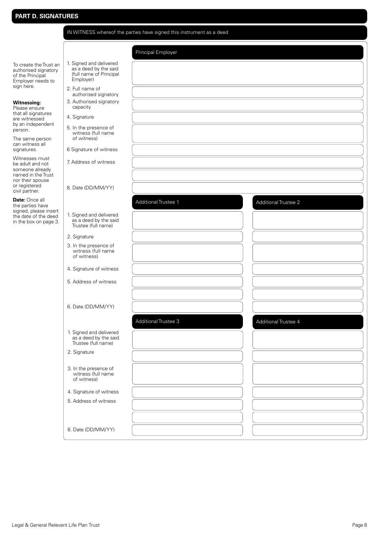|                                                                                         | IN WITNESS whereof the parties have signed this instrument as a deed                     |                             |                      |
|-----------------------------------------------------------------------------------------|------------------------------------------------------------------------------------------|-----------------------------|----------------------|
|                                                                                         |                                                                                          | Principal Employer          |                      |
| To create the Trust an<br>authorised signatory<br>of the Principal<br>Employer needs to | 1. Signed and delivered<br>as a deed by the said<br>(full name of Principal<br>Employer) |                             |                      |
| sign here.                                                                              | 2. Full name of<br>authorised signatory                                                  |                             |                      |
| <b>Witnessing:</b><br>Please ensure                                                     | 3. Authorised signatory<br>capacity                                                      |                             |                      |
| that all signatures<br>are witnessed                                                    | 4. Signature                                                                             |                             |                      |
| by an independent<br>person.                                                            | 5. In the presence of<br>witness (full name                                              |                             |                      |
| The same person<br>can witness all                                                      | of witness)                                                                              |                             |                      |
| signatures.<br>Witnesses must                                                           | 6 Signature of witness                                                                   |                             |                      |
| be adult and not<br>someone already<br>named in the Trust                               | 7. Address of witness                                                                    |                             |                      |
| nor their spouse<br>or registered<br>civil partner.                                     | 8. Date (DD/MM/YY)                                                                       |                             |                      |
| Date: Once all<br>the parties have                                                      |                                                                                          | Additional Trustee 1        | Additional Trustee 2 |
| signed, please insert<br>the date of the deed<br>in the box on page 3.                  | 1. Signed and delivered<br>as a deed by the said<br>Trustee (full name)                  |                             |                      |
|                                                                                         | 2. Signature                                                                             |                             |                      |
|                                                                                         | 3. In the presence of<br>witness (full name<br>of witness)                               |                             |                      |
|                                                                                         | 4. Signature of witness                                                                  |                             |                      |
|                                                                                         | 5. Address of witness                                                                    |                             |                      |
|                                                                                         |                                                                                          |                             |                      |
|                                                                                         | 6. Date (DD/MM/YY)                                                                       |                             |                      |
|                                                                                         |                                                                                          | <b>Additional Trustee 3</b> | Additional Trustee 4 |
|                                                                                         | 1. Signed and delivered<br>as a deed by the said<br>Trustee (full name)                  |                             |                      |
|                                                                                         | 2. Signature                                                                             |                             |                      |
|                                                                                         | 3. In the presence of<br>witness (full name<br>of witness)                               |                             |                      |
|                                                                                         | 4. Signature of witness                                                                  |                             |                      |
|                                                                                         | 5. Address of witness                                                                    |                             |                      |
|                                                                                         |                                                                                          |                             |                      |
|                                                                                         | 6. Date (DD/MM/YY)                                                                       |                             |                      |